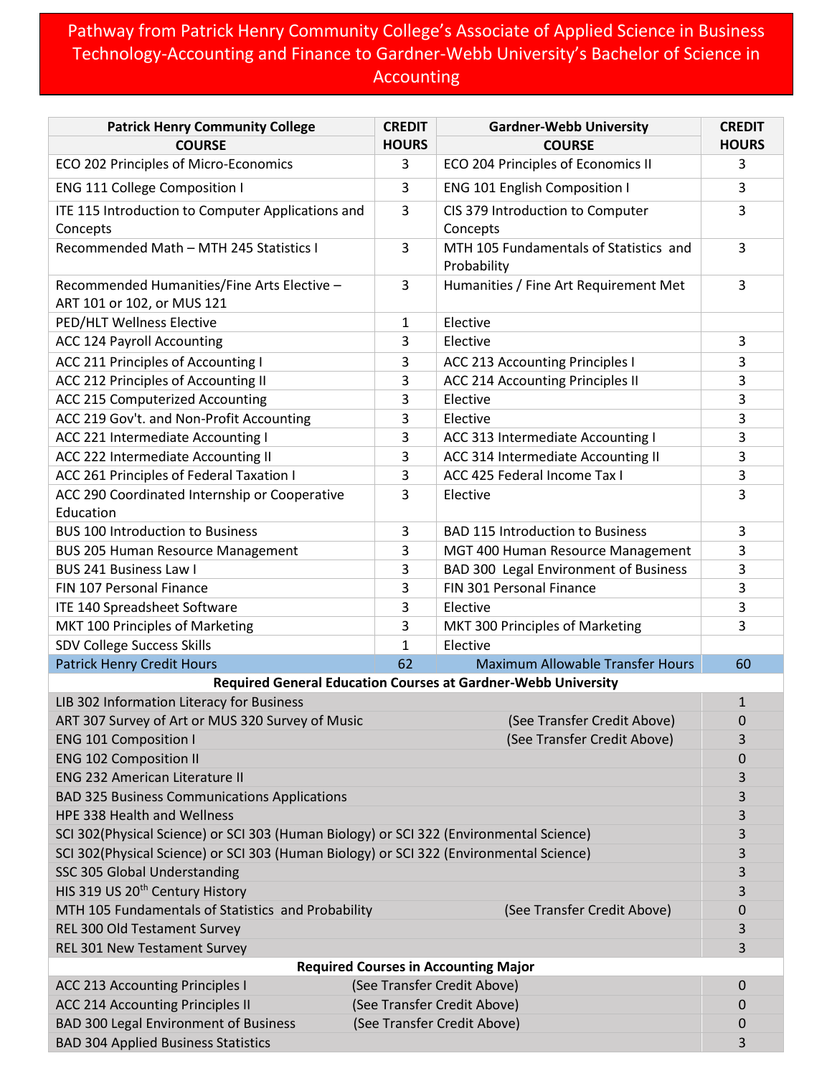## Pathway from Patrick Henry Community College's Associate of Applied Science in Business Technology-Accounting and Finance to Gardner-Webb University's Bachelor of Science in Accounting

| <b>Patrick Henry Community College</b>                                                  | <b>CREDIT</b>               | <b>Gardner-Webb University</b>                                | <b>CREDIT</b> |  |
|-----------------------------------------------------------------------------------------|-----------------------------|---------------------------------------------------------------|---------------|--|
| <b>COURSE</b>                                                                           | <b>HOURS</b>                | <b>COURSE</b>                                                 | <b>HOURS</b>  |  |
| ECO 202 Principles of Micro-Economics                                                   | 3                           | ECO 204 Principles of Economics II                            | 3             |  |
| <b>ENG 111 College Composition I</b>                                                    | 3                           | ENG 101 English Composition I                                 | 3             |  |
| ITE 115 Introduction to Computer Applications and                                       | 3                           | CIS 379 Introduction to Computer                              | 3             |  |
| Concepts                                                                                |                             | Concepts                                                      |               |  |
| Recommended Math - MTH 245 Statistics I                                                 | 3                           | MTH 105 Fundamentals of Statistics and<br>Probability         | 3             |  |
| Recommended Humanities/Fine Arts Elective -<br>ART 101 or 102, or MUS 121               | 3                           | Humanities / Fine Art Requirement Met                         | 3             |  |
| PED/HLT Wellness Elective                                                               | 1                           | Elective                                                      |               |  |
| <b>ACC 124 Payroll Accounting</b>                                                       | 3                           | Elective                                                      | 3             |  |
| ACC 211 Principles of Accounting I                                                      | 3                           | <b>ACC 213 Accounting Principles I</b>                        | 3             |  |
| ACC 212 Principles of Accounting II                                                     | 3                           | ACC 214 Accounting Principles II                              | 3             |  |
| ACC 215 Computerized Accounting                                                         | 3                           | Elective                                                      | 3             |  |
| ACC 219 Gov't. and Non-Profit Accounting                                                | 3                           | Elective                                                      | 3             |  |
| ACC 221 Intermediate Accounting I                                                       | 3                           | ACC 313 Intermediate Accounting I                             | 3             |  |
| ACC 222 Intermediate Accounting II                                                      | 3                           | ACC 314 Intermediate Accounting II                            | 3             |  |
| ACC 261 Principles of Federal Taxation I                                                | 3                           | ACC 425 Federal Income Tax I                                  | 3             |  |
| ACC 290 Coordinated Internship or Cooperative                                           | 3                           | Elective                                                      | 3             |  |
| Education                                                                               |                             |                                                               |               |  |
| <b>BUS 100 Introduction to Business</b>                                                 | 3                           | <b>BAD 115 Introduction to Business</b>                       | 3             |  |
| <b>BUS 205 Human Resource Management</b>                                                | 3                           | MGT 400 Human Resource Management                             | 3             |  |
| <b>BUS 241 Business Law I</b>                                                           | 3                           | BAD 300 Legal Environment of Business                         | 3             |  |
| FIN 107 Personal Finance                                                                | 3                           | FIN 301 Personal Finance                                      | 3             |  |
| ITE 140 Spreadsheet Software                                                            | 3                           | Elective                                                      | 3             |  |
| MKT 100 Principles of Marketing                                                         | 3                           | MKT 300 Principles of Marketing                               | 3             |  |
| <b>SDV College Success Skills</b>                                                       | $\mathbf{1}$                | Elective                                                      |               |  |
| <b>Patrick Henry Credit Hours</b>                                                       | 62                          | <b>Maximum Allowable Transfer Hours</b>                       | 60            |  |
|                                                                                         |                             | Required General Education Courses at Gardner-Webb University |               |  |
| LIB 302 Information Literacy for Business                                               |                             |                                                               | $\mathbf{1}$  |  |
| ART 307 Survey of Art or MUS 320 Survey of Music                                        |                             | (See Transfer Credit Above)                                   | 0             |  |
| <b>ENG 101 Composition I</b>                                                            |                             | (See Transfer Credit Above)                                   | 3             |  |
| <b>ENG 102 Composition II</b>                                                           |                             |                                                               | $\pmb{0}$     |  |
| <b>ENG 232 American Literature II</b>                                                   |                             |                                                               |               |  |
| <b>BAD 325 Business Communications Applications</b>                                     |                             |                                                               | 3             |  |
| HPE 338 Health and Wellness                                                             |                             |                                                               | 3             |  |
| SCI 302(Physical Science) or SCI 303 (Human Biology) or SCI 322 (Environmental Science) |                             |                                                               | 3             |  |
| SCI 302(Physical Science) or SCI 303 (Human Biology) or SCI 322 (Environmental Science) |                             |                                                               | 3             |  |
| SSC 305 Global Understanding                                                            |                             |                                                               |               |  |
| HIS 319 US 20 <sup>th</sup> Century History                                             |                             |                                                               | 3             |  |
| MTH 105 Fundamentals of Statistics and Probability                                      |                             | (See Transfer Credit Above)                                   | 0             |  |
| REL 300 Old Testament Survey                                                            |                             |                                                               | 3             |  |
| REL 301 New Testament Survey                                                            |                             |                                                               | 3             |  |
| <b>Required Courses in Accounting Major</b>                                             |                             |                                                               |               |  |
| <b>ACC 213 Accounting Principles I</b><br>(See Transfer Credit Above)                   |                             |                                                               | 0             |  |
| <b>ACC 214 Accounting Principles II</b>                                                 | (See Transfer Credit Above) | $\mathbf 0$                                                   |               |  |
| <b>BAD 300 Legal Environment of Business</b>                                            |                             | (See Transfer Credit Above)                                   | 0             |  |
| <b>BAD 304 Applied Business Statistics</b>                                              |                             |                                                               | 3             |  |